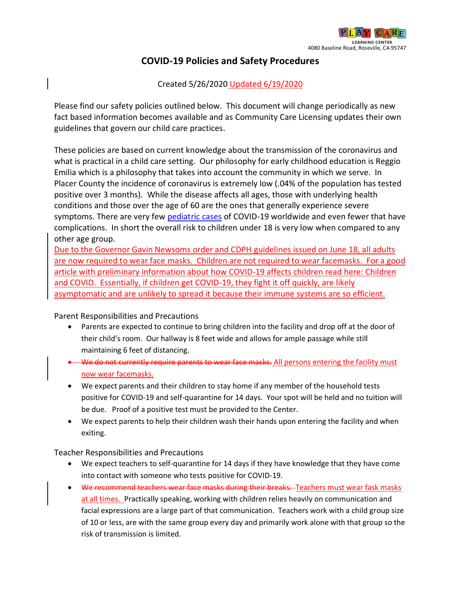

## **COVID-19 Policies and Safety Procedures**

## Created 5/26/2020 Updated 6/19/2020

Please find our safety policies outlined below. This document will change periodically as new fact based information becomes available and as Community Care Licensing updates their own guidelines that govern our child care practices.

These policies are based on current knowledge about the transmission of the coronavirus and what is practical in a child care setting. Our philosophy for early childhood education is Reggio Emilia which is a philosophy that takes into account the community in which we serve. In Placer County the incidence of coronavirus is extremely low (.04% of the population has tested positive over 3 months). While the disease affects all ages, those with underlying health conditions and those over the age of 60 are the ones that generally experience severe symptoms. There are very few [pediatric cases](https://www.cdc.gov/coronavirus/2019-ncov/hcp/pediatric-hcp.html) of COVID-19 worldwide and even fewer that have complications. In short the overall risk to children under 18 is very low when compared to any other age group.

Due to the Governor Gavin Newsoms order and CDPH guidelines issued on June 18, all adults are now required to wear face masks. Children are not required to wear facemasks. For a good article with preliminary information about how COVID-19 affects children read here: [Children](https://www.yahoo.com/huffpost/how-common-asymptomatic-spread-coronavirus-kids-203159999.html)  [and COVID.](https://www.yahoo.com/huffpost/how-common-asymptomatic-spread-coronavirus-kids-203159999.html) Essentially, if children get COVID-19, they fight it off quickly, are likely asymptomatic and are unlikely to spread it because their immune systems are so efficient.

Parent Responsibilities and Precautions

- Parents are expected to continue to bring children into the facility and drop off at the door of their child's room. Our hallway is 8 feet wide and allows for ample passage while still maintaining 6 feet of distancing.
- We do not currently require parents to wear face masks. All persons entering the facility must now wear facemasks.
- We expect parents and their children to stay home if any member of the household tests positive for COVID-19 and self-quarantine for 14 days. Your spot will be held and no tuition will be due. Proof of a positive test must be provided to the Center.
- We expect parents to help their children wash their hands upon entering the facility and when exiting.

Teacher Responsibilities and Precautions

- We expect teachers to self-quarantine for 14 days if they have knowledge that they have come into contact with someone who tests positive for COVID-19.
- We recommend teachers wear face masks during their breaks. Teachers must wear fask masks at all times. Practically speaking, working with children relies heavily on communication and facial expressions are a large part of that communication. Teachers work with a child group size of 10 or less, are with the same group every day and primarily work alone with that group so the risk of transmission is limited.